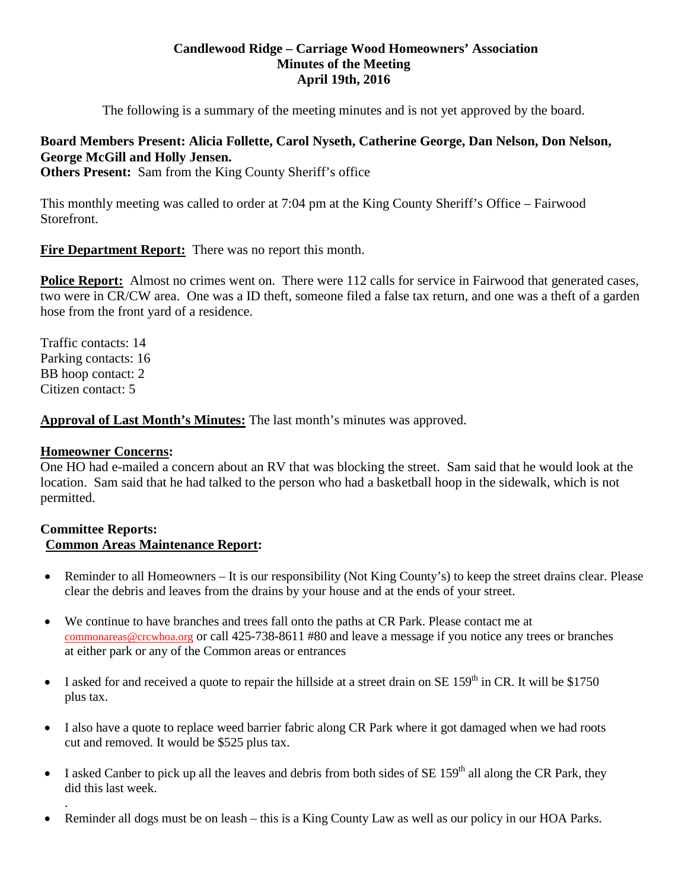### **Candlewood Ridge – Carriage Wood Homeowners' Association Minutes of the Meeting April 19th, 2016**

The following is a summary of the meeting minutes and is not yet approved by the board.

# **Board Members Present: Alicia Follette, Carol Nyseth, Catherine George, Dan Nelson, Don Nelson, George McGill and Holly Jensen.**

**Others Present:** Sam from the King County Sheriff's office

This monthly meeting was called to order at 7:04 pm at the King County Sheriff's Office – Fairwood Storefront.

**Fire Department Report:** There was no report this month.

**Police Report:** Almost no crimes went on. There were 112 calls for service in Fairwood that generated cases, two were in CR/CW area. One was a ID theft, someone filed a false tax return, and one was a theft of a garden hose from the front yard of a residence.

Traffic contacts: 14 Parking contacts: 16 BB hoop contact: 2 Citizen contact: 5

# **Approval of Last Month's Minutes:** The last month's minutes was approved.

## **Homeowner Concerns:**

.

One HO had e-mailed a concern about an RV that was blocking the street. Sam said that he would look at the location. Sam said that he had talked to the person who had a basketball hoop in the sidewalk, which is not permitted.

#### **Committee Reports: Common Areas Maintenance Report:**

- Reminder to all Homeowners It is our responsibility (Not King County's) to keep the street drains clear. Please clear the debris and leaves from the drains by your house and at the ends of your street.
- We continue to have branches and trees fall onto the paths at CR Park. Please contact me at [commonareas@crcwhoa.org](mailto:commonareas@crcwhoa.org) or call 425-738-8611 #80 and leave a message if you notice any trees or branches at either park or any of the Common areas or entrances
- I asked for and received a quote to repair the hillside at a street drain on SE  $159<sup>th</sup>$  in CR. It will be \$1750 plus tax.
- I also have a quote to replace weed barrier fabric along CR Park where it got damaged when we had roots cut and removed. It would be \$525 plus tax.
- I asked Canber to pick up all the leaves and debris from both sides of  $SE 159<sup>th</sup>$  all along the CR Park, they did this last week.
- Reminder all dogs must be on leash this is a King County Law as well as our policy in our HOA Parks.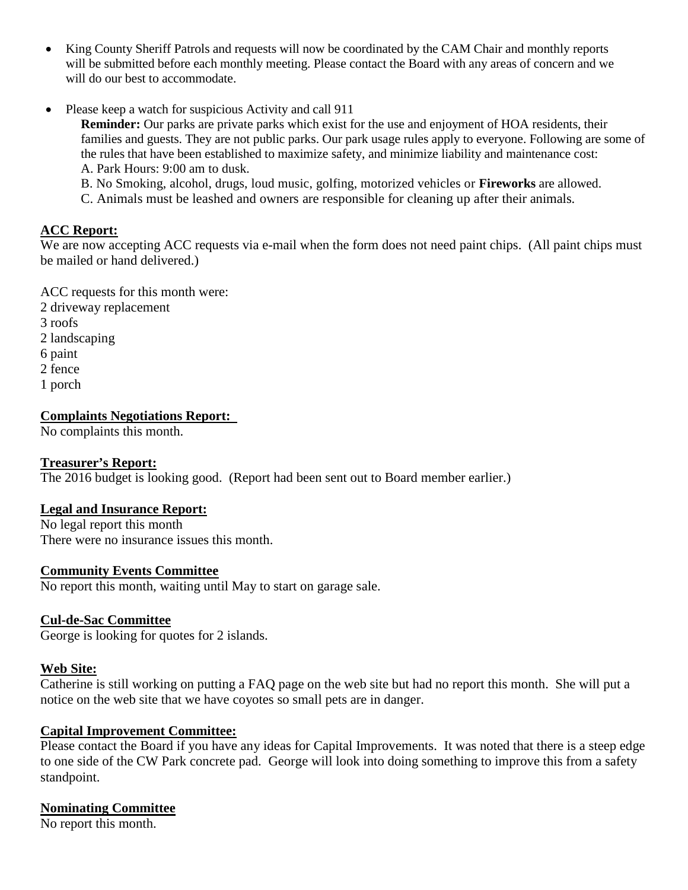- King County Sheriff Patrols and requests will now be coordinated by the CAM Chair and monthly reports will be submitted before each monthly meeting. Please contact the Board with any areas of concern and we will do our best to accommodate.
- Please keep a watch for suspicious Activity and call 911

**Reminder:** Our parks are private parks which exist for the use and enjoyment of HOA residents, their families and guests. They are not public parks. Our park usage rules apply to everyone. Following are some of the rules that have been established to maximize safety, and minimize liability and maintenance cost: A. Park Hours: 9:00 am to dusk.

B. No Smoking, alcohol, drugs, loud music, golfing, motorized vehicles or **Fireworks** are allowed.

C. Animals must be leashed and owners are responsible for cleaning up after their animals.

## **ACC Report:**

We are now accepting ACC requests via e-mail when the form does not need paint chips. (All paint chips must be mailed or hand delivered.)

ACC requests for this month were:

- 2 driveway replacement
- 3 roofs
- 2 landscaping
- 6 paint
- 2 fence
- 1 porch

# **Complaints Negotiations Report:**

No complaints this month.

## **Treasurer's Report:**

The 2016 budget is looking good. (Report had been sent out to Board member earlier.)

## **Legal and Insurance Report:**

No legal report this month There were no insurance issues this month.

# **Community Events Committee**

No report this month, waiting until May to start on garage sale.

# **Cul-de-Sac Committee**

George is looking for quotes for 2 islands.

## **Web Site:**

Catherine is still working on putting a FAQ page on the web site but had no report this month. She will put a notice on the web site that we have coyotes so small pets are in danger.

## **Capital Improvement Committee:**

Please contact the Board if you have any ideas for Capital Improvements. It was noted that there is a steep edge to one side of the CW Park concrete pad. George will look into doing something to improve this from a safety standpoint.

## **Nominating Committee**

No report this month.